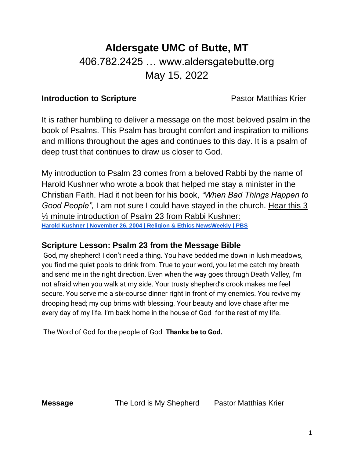## **Aldersgate UMC of Butte, MT** 406.782.2425 … www.aldersgatebutte.org May 15, 2022

## **Introduction to Scripture Pastor Matthias Krier**

It is rather humbling to deliver a message on the most beloved psalm in the book of Psalms. This Psalm has brought comfort and inspiration to millions and millions throughout the ages and continues to this day. It is a psalm of deep trust that continues to draw us closer to God.

My introduction to Psalm 23 comes from a beloved Rabbi by the name of Harold Kushner who wrote a book that helped me stay a minister in the Christian Faith. Had it not been for his book, *"When Bad Things Happen to Good People",* I am not sure I could have stayed in the church. Hear this 3 ½ minute introduction of Psalm 23 from Rabbi Kushner: **[Harold Kushner | November 26, 2004 | Religion & Ethics NewsWeekly | PBS](https://www.pbs.org/wnet/religionandethics/2004/11/26/november-26-2004-harold-kushner/15271/)**

## **Scripture Lesson: Psalm 23 from the Message Bible**

God, my shepherd! I don't need a thing. You have bedded me down in lush meadows, you find me quiet pools to drink from. True to your word, you let me catch my breath and send me in the right direction. Even when the way goes through Death Valley, I'm not afraid when you walk at my side. Your trusty shepherd's crook makes me feel secure. You serve me a six-course dinner right in front of my enemies. You revive my drooping head; my cup brims with blessing. Your beauty and love chase after me every day of my life. I'm back home in the house of God for the rest of my life.

The Word of God for the people of God. **Thanks be to God.** 

**Message** The Lord is My Shepherd Pastor Matthias Krier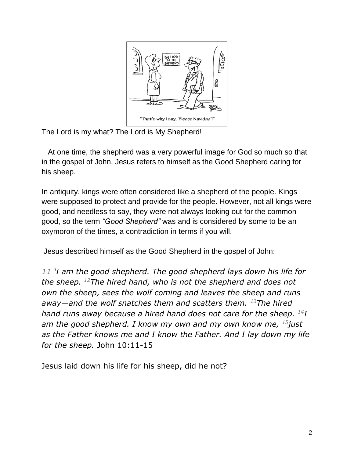

The Lord is my what? The Lord is My Shepherd!

 At one time, the shepherd was a very powerful image for God so much so that in the gospel of John, Jesus refers to himself as the Good Shepherd caring for his sheep.

In antiquity, kings were often considered like a shepherd of the people. Kings were supposed to protect and provide for the people. However, not all kings were good, and needless to say, they were not always looking out for the common good, so the term *"Good Shepherd"* was and is considered by some to be an oxymoron of the times, a contradiction in terms if you will.

Jesus described himself as the Good Shepherd in the gospel of John:

*11 'I am the good shepherd. The good shepherd lays down his life for the sheep. <sup>12</sup>The hired hand, who is not the shepherd and does not own the sheep, sees the wolf coming and leaves the sheep and runs away—and the wolf snatches them and scatters them. <sup>13</sup>The hired hand runs away because a hired hand does not care for the sheep. <sup>14</sup>I am the good shepherd. I know my own and my own know me, <sup>15</sup>just as the Father knows me and I know the Father. And I lay down my life for the sheep.* John 10:11-15

Jesus laid down his life for his sheep, did he not?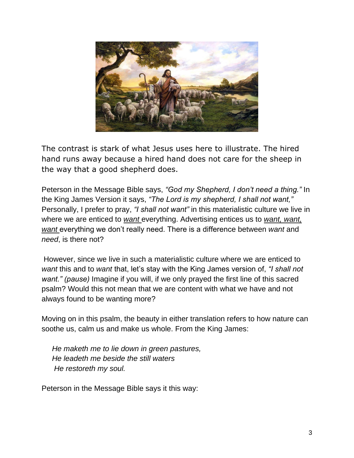

The contrast is stark of what Jesus uses here to illustrate. The hired hand runs away because a hired hand does not care for the sheep in the way that a good shepherd does.

Peterson in the Message Bible says, *"God my Shepherd, I don't need a thing."* In the King James Version it says, *"The Lord is my shepherd, I shall not want,"* Personally, I prefer to pray, *"I shall not want"* in this materialistic culture we live in where we are enticed to *want* everything. Advertising entices us to *want, want, want* everything we don't really need. There is a difference between *want* and *need*, is there not?

However, since we live in such a materialistic culture where we are enticed to *want* this and to *want* that, let's stay with the King James version of, *"I shall not want." (pause)* Imagine if you will, if we only prayed the first line of this sacred psalm? Would this not mean that we are content with what we have and not always found to be wanting more?

Moving on in this psalm, the beauty in either translation refers to how nature can soothe us, calm us and make us whole. From the King James:

 *He maketh me to lie down in green pastures, He leadeth me beside the still waters He restoreth my soul.*

Peterson in the Message Bible says it this way: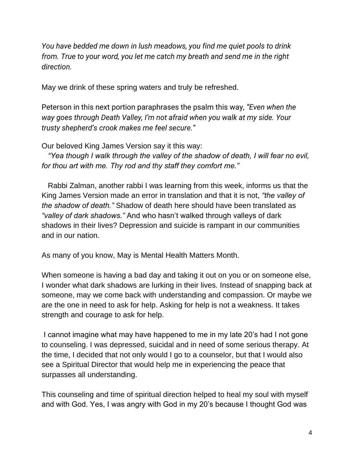*You have bedded me down in lush meadows, you find me quiet pools to drink from. True to your word, you let me catch my breath and send me in the right direction.*

May we drink of these spring waters and truly be refreshed.

Peterson in this next portion paraphrases the psalm this way, *"Even when the way goes through Death Valley, I'm not afraid when you walk at my side. Your trusty shepherd's crook makes me feel secure."* 

Our beloved King James Version say it this way:

 *"Yea though I walk through the valley of the shadow of death, I will fear no evil, for thou art with me. Thy rod and thy staff they comfort me."* 

 Rabbi Zalman, another rabbi I was learning from this week, informs us that the King James Version made an error in translation and that it is not, *"the valley of the shadow of death."* Shadow of death here should have been translated as *"valley of dark shadows."* And who hasn't walked through valleys of dark shadows in their lives? Depression and suicide is rampant in our communities and in our nation.

As many of you know, May is Mental Health Matters Month.

When someone is having a bad day and taking it out on you or on someone else, I wonder what dark shadows are lurking in their lives. Instead of snapping back at someone, may we come back with understanding and compassion. Or maybe we are the one in need to ask for help. Asking for help is not a weakness. It takes strength and courage to ask for help.

I cannot imagine what may have happened to me in my late 20's had I not gone to counseling. I was depressed, suicidal and in need of some serious therapy. At the time, I decided that not only would I go to a counselor, but that I would also see a Spiritual Director that would help me in experiencing the peace that surpasses all understanding.

This counseling and time of spiritual direction helped to heal my soul with myself and with God. Yes, I was angry with God in my 20's because I thought God was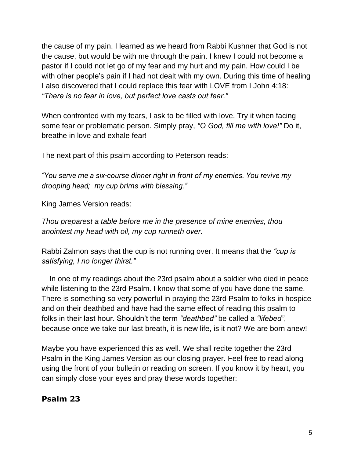the cause of my pain. I learned as we heard from Rabbi Kushner that God is not the cause, but would be with me through the pain. I knew I could not become a pastor if I could not let go of my fear and my hurt and my pain. How could I be with other people's pain if I had not dealt with my own. During this time of healing I also discovered that I could replace this fear with LOVE from I John 4:18: *"There is no fear in love, but perfect love casts out fear."*

When confronted with my fears, I ask to be filled with love. Try it when facing some fear or problematic person. Simply pray, *"O God, fill me with love!"* Do it, breathe in love and exhale fear!

The next part of this psalm according to Peterson reads:

*"You serve me a six-course dinner right in front of my enemies. You revive my drooping head; my cup brims with blessing."*

King James Version reads:

*Thou preparest a table before me in the presence of mine enemies, thou anointest my head with oil, my cup runneth over.*

Rabbi Zalmon says that the cup is not running over. It means that the *"cup is satisfying, I no longer thirst."*

 In one of my readings about the 23rd psalm about a soldier who died in peace while listening to the 23rd Psalm. I know that some of you have done the same. There is something so very powerful in praying the 23rd Psalm to folks in hospice and on their deathbed and have had the same effect of reading this psalm to folks in their last hour. Shouldn't the term *"deathbed"* be called a *"lifebed"*, because once we take our last breath, it is new life, is it not? We are born anew!

Maybe you have experienced this as well. We shall recite together the 23rd Psalm in the King James Version as our closing prayer. Feel free to read along using the front of your bulletin or reading on screen. If you know it by heart, you can simply close your eyes and pray these words together:

## **Psalm 23**